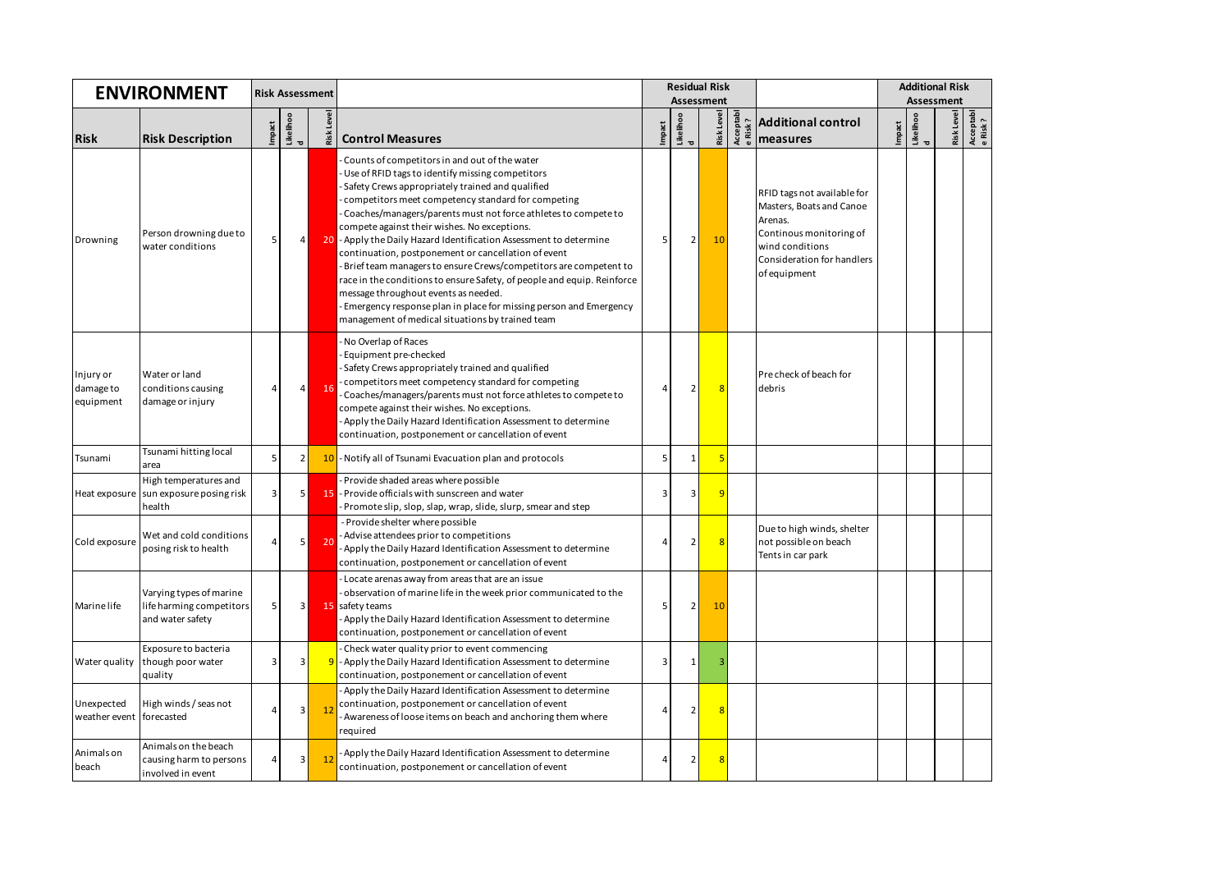| <b>ENVIRONMENT</b>                  |                                                                         |                | <b>Risk Assessment</b> |                   |                                                                                                                                                                                                                                                                                                                                                                                                                                                                                                                                                                                                                                                                                                                                                                         |                          |                | <b>Residual Risk</b> |                       |                                                                                                                                                                | <b>Additional Risk</b> |                |  |                                     |
|-------------------------------------|-------------------------------------------------------------------------|----------------|------------------------|-------------------|-------------------------------------------------------------------------------------------------------------------------------------------------------------------------------------------------------------------------------------------------------------------------------------------------------------------------------------------------------------------------------------------------------------------------------------------------------------------------------------------------------------------------------------------------------------------------------------------------------------------------------------------------------------------------------------------------------------------------------------------------------------------------|--------------------------|----------------|----------------------|-----------------------|----------------------------------------------------------------------------------------------------------------------------------------------------------------|------------------------|----------------|--|-------------------------------------|
|                                     |                                                                         |                |                        |                   |                                                                                                                                                                                                                                                                                                                                                                                                                                                                                                                                                                                                                                                                                                                                                                         |                          |                | <b>Assessment</b>    |                       |                                                                                                                                                                | <b>Assessment</b>      |                |  |                                     |
|                                     |                                                                         | Impact         | Likelihoo              | <b>Risk Level</b> |                                                                                                                                                                                                                                                                                                                                                                                                                                                                                                                                                                                                                                                                                                                                                                         | Impact                   | Likelihoo<br>d | <b>Risk Level</b>    | Acceptabl<br>e Risk ? | <b>Additional control</b>                                                                                                                                      | Impact                 | Likelihoo<br>d |  | Risk Level<br>Acceptabl<br>e Risk ? |
| <b>Risk</b>                         | <b>Risk Description</b>                                                 |                | $\overline{a}$         |                   | <b>Control Measures</b>                                                                                                                                                                                                                                                                                                                                                                                                                                                                                                                                                                                                                                                                                                                                                 |                          |                |                      |                       | measures                                                                                                                                                       |                        |                |  |                                     |
| Drowning                            | Person drowning due to<br>water conditions                              | 5              | 4                      | 20                | Counts of competitors in and out of the water<br>Use of RFID tags to identify missing competitors<br>Safety Crews appropriately trained and qualified<br>competitors meet competency standard for competing<br>Coaches/managers/parents must not force athletes to compete to<br>compete against their wishes. No exceptions.<br>- Apply the Daily Hazard Identification Assessment to determine<br>continuation, postponement or cancellation of event<br>Brief team managers to ensure Crews/competitors are competent to<br>race in the conditions to ensure Safety, of people and equip. Reinforce<br>message throughout events as needed.<br>Emergency response plan in place for missing person and Emergency<br>management of medical situations by trained team | 5                        | $\overline{2}$ | 10                   |                       | RFID tags not available for<br>Masters, Boats and Canoe<br>Arenas.<br>Continous monitoring of<br>wind conditions<br>Consideration for handlers<br>of equipment |                        |                |  |                                     |
| Injury or<br>damage to<br>equipment | Water or land<br>conditions causing<br>damage or injury                 | $\overline{4}$ | 4                      | 16                | No Overlap of Races<br>Equipment pre-checked<br>Safety Crews appropriately trained and qualified<br>competitors meet competency standard for competing<br>Coaches/managers/parents must not force athletes to compete to<br>compete against their wishes. No exceptions.<br>Apply the Daily Hazard Identification Assessment to determine<br>continuation, postponement or cancellation of event                                                                                                                                                                                                                                                                                                                                                                        | $\prime$                 | $\overline{2}$ | $\overline{8}$       |                       | Pre check of beach for<br>debris                                                                                                                               |                        |                |  |                                     |
| Tsunami                             | Tsunami hitting local<br>area                                           | 5              | $\overline{2}$         | 10                | - Notify all of Tsunami Evacuation plan and protocols                                                                                                                                                                                                                                                                                                                                                                                                                                                                                                                                                                                                                                                                                                                   | 5                        | $\mathbf{1}$   | 5                    |                       |                                                                                                                                                                |                        |                |  |                                     |
| Heat exposure                       | High temperatures and<br>sun exposure posing risk<br>health             | 3              | 5                      | 15                | Provide shaded areas where possible<br>- Provide officials with sunscreen and water<br>Promote slip, slop, slap, wrap, slide, slurp, smear and step                                                                                                                                                                                                                                                                                                                                                                                                                                                                                                                                                                                                                     | 3                        | 3              | q                    |                       |                                                                                                                                                                |                        |                |  |                                     |
| Cold exposure                       | Wet and cold conditions<br>posing risk to health                        | $\overline{4}$ | 5                      | 20                | - Provide shelter where possible<br>- Advise attendees prior to competitions<br>Apply the Daily Hazard Identification Assessment to determine<br>continuation, postponement or cancellation of event                                                                                                                                                                                                                                                                                                                                                                                                                                                                                                                                                                    | $\overline{\mathcal{L}}$ | $\overline{2}$ | 8                    |                       | Due to high winds, shelter<br>not possible on beach<br>Tents in car park                                                                                       |                        |                |  |                                     |
| <b>Marine</b> life                  | Varying types of marine<br>life harming competitors<br>and water safety | 5              | 3                      |                   | Locate arenas away from areas that are an issue<br>observation of marine life in the week prior communicated to the<br>15 safety teams<br>Apply the Daily Hazard Identification Assessment to determine<br>continuation, postponement or cancellation of event                                                                                                                                                                                                                                                                                                                                                                                                                                                                                                          | 5                        | $\overline{2}$ | 10                   |                       |                                                                                                                                                                |                        |                |  |                                     |
| Water quality                       | Exposure to bacteria<br>though poor water<br>quality                    | 3              | 3                      |                   | Check water quality prior to event commencing<br>- Apply the Daily Hazard Identification Assessment to determine<br>continuation, postponement or cancellation of event                                                                                                                                                                                                                                                                                                                                                                                                                                                                                                                                                                                                 | 3                        | 1              |                      |                       |                                                                                                                                                                |                        |                |  |                                     |
| Unexpected<br>weather event         | High winds / seas not<br>forecasted                                     | $\overline{4}$ | 3                      | $\overline{12}$   | Apply the Daily Hazard Identification Assessment to determine<br>continuation, postponement or cancellation of event<br>Awareness of loose items on beach and anchoring them where<br>required                                                                                                                                                                                                                                                                                                                                                                                                                                                                                                                                                                          | 4                        | $\overline{2}$ | 8                    |                       |                                                                                                                                                                |                        |                |  |                                     |
| Animals on<br>beach                 | Animals on the beach<br>causing harm to persons<br>involved in event    | 4              | 3                      | $_{12}$           | Apply the Daily Hazard Identification Assessment to determine<br>continuation, postponement or cancellation of event                                                                                                                                                                                                                                                                                                                                                                                                                                                                                                                                                                                                                                                    | 4                        | $\overline{2}$ | $\overline{R}$       |                       |                                                                                                                                                                |                        |                |  |                                     |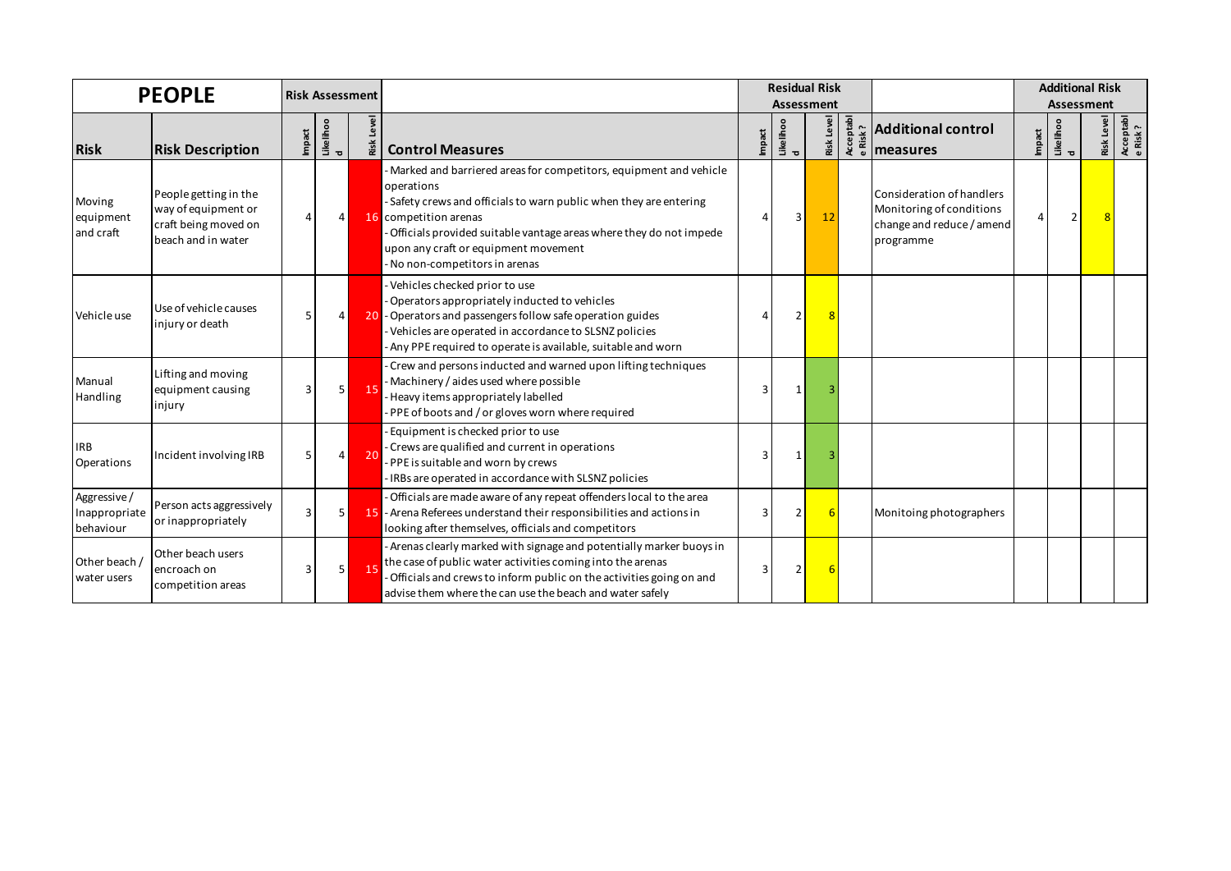| <b>PEOPLE</b>                             |                                                                                            | <b>Risk Assessment</b> |                 |               |                                                                                                                                                                                                                                                                                                                                    |        |                 | <b>Residual Risk</b><br><b>Assessment</b> |                                                                                                 | <b>Additional Risk</b><br>Assessment |                                  |                   |                       |
|-------------------------------------------|--------------------------------------------------------------------------------------------|------------------------|-----------------|---------------|------------------------------------------------------------------------------------------------------------------------------------------------------------------------------------------------------------------------------------------------------------------------------------------------------------------------------------|--------|-----------------|-------------------------------------------|-------------------------------------------------------------------------------------------------|--------------------------------------|----------------------------------|-------------------|-----------------------|
| <b>Risk</b>                               | <b>Risk Description</b>                                                                    | Impact                 | Like lihoo<br>d | Level<br>Risk | <b>Control Measures</b>                                                                                                                                                                                                                                                                                                            | Impact | Like lihoo<br>d | Risk Level                                | $\frac{2}{3}$ $\frac{1}{3}$ $\frac{1}{3}$ Additional control                                    | Impact                               | Likelihoo<br>$\overline{\sigma}$ | <b>Risk Level</b> | Acceptabl<br>e Risk ? |
| Moving<br>equipment<br>and craft          | People getting in the<br>way of equipment or<br>craft being moved on<br>beach and in water |                        | 4               |               | - Marked and barriered areas for competitors, equipment and vehicle<br>operations<br>- Safety crews and officials to warn public when they are entering<br>16 competition arenas<br>- Officials provided suitable vantage areas where they do not impede<br>upon any craft or equipment movement<br>- No non-competitors in arenas |        | 3               | 12                                        | Consideration of handlers<br>Monitoring of conditions<br>change and reduce / amend<br>programme |                                      |                                  |                   |                       |
| Vehicle use                               | Use of vehicle causes<br>injury or death                                                   |                        | 4               |               | - Vehicles checked prior to use<br>- Operators appropriately inducted to vehicles<br>20 - Operators and passengers follow safe operation guides<br>Vehicles are operated in accordance to SLSNZ policies<br>Any PPE required to operate is available, suitable and worn                                                            |        | 2               |                                           |                                                                                                 |                                      |                                  |                   |                       |
| Manual<br>Handling                        | Lifting and moving<br>equipment causing<br>injury                                          | 3                      | 5               | -15           | Crew and persons inducted and warned upon lifting techniques<br>- Machinery / aides used where possible<br>- Heavy items appropriately labelled<br>- PPE of boots and / or gloves worn where required                                                                                                                              | 3      |                 |                                           |                                                                                                 |                                      |                                  |                   |                       |
| <b>IRB</b><br>Operations                  | Incident involving IRB                                                                     |                        | 4               | -20           | - Equipment is checked prior to use<br>- Crews are qualified and current in operations<br>- PPE is suitable and worn by crews<br>IRBs are operated in accordance with SLSNZ policies                                                                                                                                               |        |                 |                                           |                                                                                                 |                                      |                                  |                   |                       |
| Aggressive/<br>Inappropriate<br>behaviour | Person acts aggressively<br>or inappropriately                                             |                        |                 |               | - Officials are made aware of any repeat offenders local to the area<br>15 - Arena Referees understand their responsibilities and actions in<br>looking after themselves, officials and competitors                                                                                                                                |        | 2               |                                           | Monitoing photographers                                                                         |                                      |                                  |                   |                       |
| Other beach /<br>water users              | Other beach users<br>encroach on<br>competition areas                                      | 3                      | 5 <sub>l</sub>  | -15           | - Arenas clearly marked with signage and potentially marker buoys in<br>the case of public water activities coming into the arenas<br>Officials and crews to inform public on the activities going on and<br>advise them where the can use the beach and water safely                                                              |        | 2               |                                           |                                                                                                 |                                      |                                  |                   |                       |